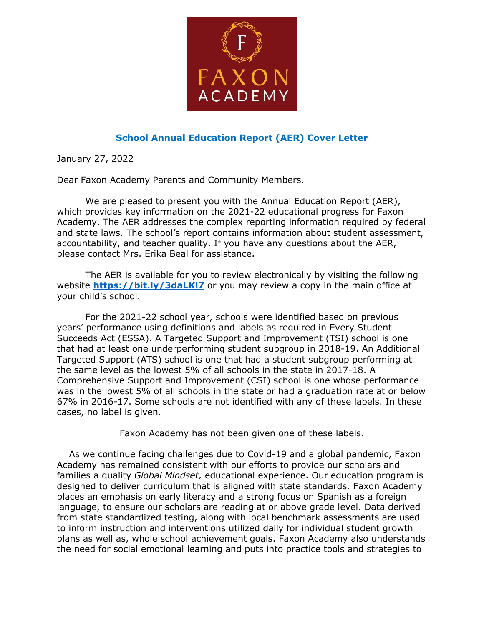

## **School Annual Education Report (AER) Cover Letter**

January 27, 2022

Dear Faxon Academy Parents and Community Members.

We are pleased to present you with the Annual Education Report (AER), which provides key information on the 2021-22 educational progress for Faxon Academy. The AER addresses the complex reporting information required by federal and state laws. The school's report contains information about student assessment, accountability, and teacher quality. If you have any questions about the AER, please contact Mrs. Erika Beal for assistance.

The AER is available for you to review electronically by visiting the following website **https://bit.ly/3daLKI7** or you may review a copy in the main office at your child's school.

For the 2021-22 school year, schools were identified based on previous years' performance using definitions and labels as required in Every Student Succeeds Act (ESSA). A Targeted Support and Improvement (TSI) school is one that had at least one underperforming student subgroup in 2018-19. An Additional Targeted Support (ATS) school is one that had a student subgroup performing at the same level as the lowest 5% of all schools in the state in 2017-18. A Comprehensive Support and Improvement (CSI) school is one whose performance was in the lowest 5% of all schools in the state or had a graduation rate at or below 67% in 2016-17. Some schools are not identified with any of these labels. In these cases, no label is given.

Faxon Academy has not been given one of these labels.

 As we continue facing challenges due to Covid-19 and a global pandemic, Faxon Academy has remained consistent with our efforts to provide our scholars and families a quality *Global Mindset,* educational experience. Our education program is designed to deliver curriculum that is aligned with state standards. Faxon Academy places an emphasis on early literacy and a strong focus on Spanish as a foreign language, to ensure our scholars are reading at or above grade level. Data derived from state standardized testing, along with local benchmark assessments are used to inform instruction and interventions utilized daily for individual student growth plans as well as, whole school achievement goals. Faxon Academy also understands the need for social emotional learning and puts into practice tools and strategies to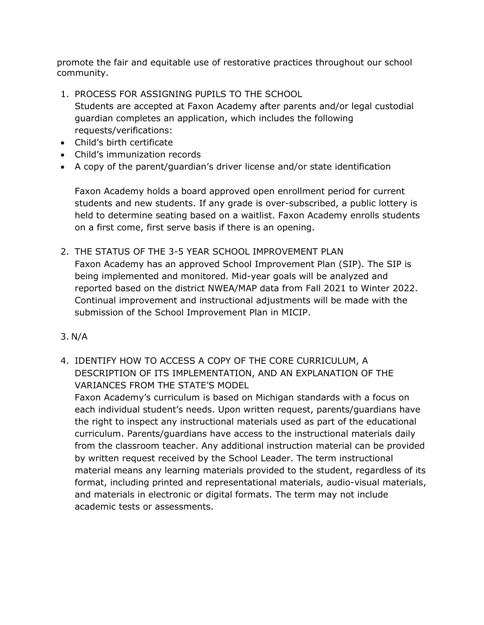promote the fair and equitable use of restorative practices throughout our school community.

1. PROCESS FOR ASSIGNING PUPILS TO THE SCHOOL

Students are accepted at Faxon Academy after parents and/or legal custodial guardian completes an application, which includes the following requests/verifications:

- Child's birth certificate
- Child's immunization records
- A copy of the parent/guardian's driver license and/or state identification

Faxon Academy holds a board approved open enrollment period for current students and new students. If any grade is over-subscribed, a public lottery is held to determine seating based on a waitlist. Faxon Academy enrolls students on a first come, first serve basis if there is an opening.

- 2. THE STATUS OF THE 3-5 YEAR SCHOOL IMPROVEMENT PLAN Faxon Academy has an approved School Improvement Plan (SIP). The SIP is being implemented and monitored. Mid-year goals will be analyzed and reported based on the district NWEA/MAP data from Fall 2021 to Winter 2022. Continual improvement and instructional adjustments will be made with the submission of the School Improvement Plan in MICIP.
- 3. N/A
- 4. IDENTIFY HOW TO ACCESS A COPY OF THE CORE CURRICULUM, A DESCRIPTION OF ITS IMPLEMENTATION, AND AN EXPLANATION OF THE VARIANCES FROM THE STATE'S MODEL

Faxon Academy's curriculum is based on Michigan standards with a focus on each individual student's needs. Upon written request, parents/guardians have the right to inspect any instructional materials used as part of the educational curriculum. Parents/guardians have access to the instructional materials daily from the classroom teacher. Any additional instruction material can be provided by written request received by the School Leader. The term instructional material means any learning materials provided to the student, regardless of its format, including printed and representational materials, audio-visual materials, and materials in electronic or digital formats. The term may not include academic tests or assessments.